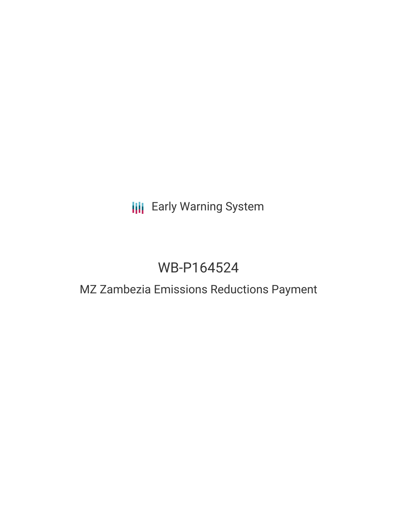# **III** Early Warning System

# WB-P164524

## MZ Zambezia Emissions Reductions Payment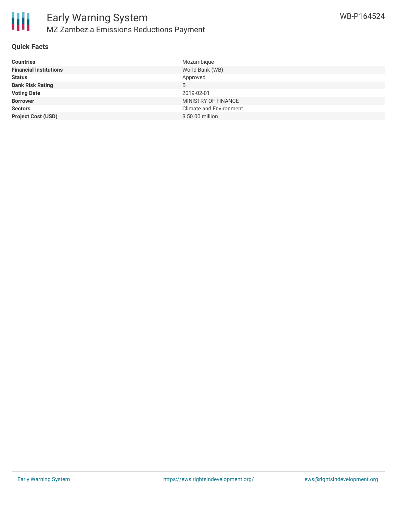

#### **Quick Facts**

| Mozambique                     |
|--------------------------------|
| World Bank (WB)                |
| Approved                       |
| B                              |
| 2019-02-01                     |
| MINISTRY OF FINANCE            |
| <b>Climate and Environment</b> |
| \$50.00 million                |
|                                |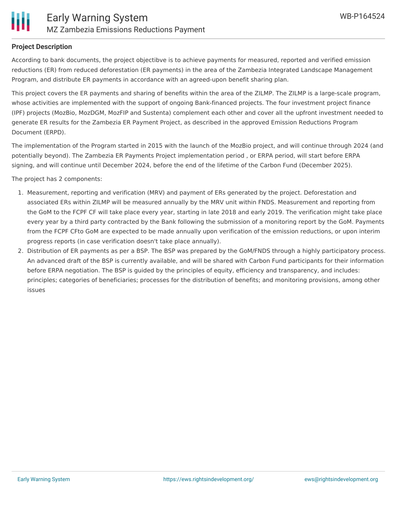

#### **Project Description**

According to bank documents, the project objectibve is to achieve payments for measured, reported and verified emission reductions (ER) from reduced deforestation (ER payments) in the area of the Zambezia Integrated Landscape Management Program, and distribute ER payments in accordance with an agreed-upon benefit sharing plan.

This project covers the ER payments and sharing of benefits within the area of the ZILMP. The ZILMP is a large-scale program, whose activities are implemented with the support of ongoing Bank-financed projects. The four investment project finance (IPF) projects (MozBio, MozDGM, MozFIP and Sustenta) complement each other and cover all the upfront investment needed to generate ER results for the Zambezia ER Payment Project, as described in the approved Emission Reductions Program Document (ERPD).

The implementation of the Program started in 2015 with the launch of the MozBio project, and will continue through 2024 (and potentially beyond). The Zambezia ER Payments Project implementation period , or ERPA period, will start before ERPA signing, and will continue until December 2024, before the end of the lifetime of the Carbon Fund (December 2025).

The project has 2 components:

- 1. Measurement, reporting and verification (MRV) and payment of ERs generated by the project. Deforestation and associated ERs within ZILMP will be measured annually by the MRV unit within FNDS. Measurement and reporting from the GoM to the FCPF CF will take place every year, starting in late 2018 and early 2019. The verification might take place every year by a third party contracted by the Bank following the submission of a monitoring report by the GoM. Payments from the FCPF CFto GoM are expected to be made annually upon verification of the emission reductions, or upon interim progress reports (in case verification doesn't take place annually).
- 2. Distribution of ER payments as per a BSP. The BSP was prepared by the GoM/FNDS through a highly participatory process. An advanced draft of the BSP is currently available, and will be shared with Carbon Fund participants for their information before ERPA negotiation. The BSP is guided by the principles of equity, efficiency and transparency, and includes: principles; categories of beneficiaries; processes for the distribution of benefits; and monitoring provisions, among other issues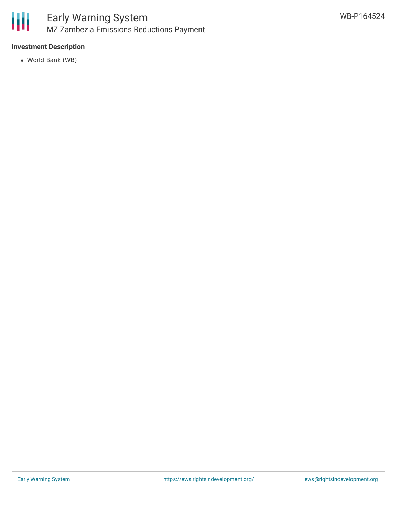

## Early Warning System MZ Zambezia Emissions Reductions Payment

#### **Investment Description**

World Bank (WB)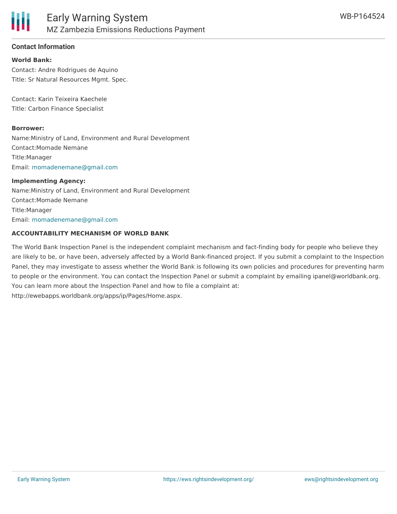

#### **Contact Information**

#### **World Bank:**

Contact: Andre Rodrigues de Aquino Title: Sr Natural Resources Mgmt. Spec.

Contact: Karin Teixeira Kaechele Title: Carbon Finance Specialist

#### **Borrower:**

Name:Ministry of Land, Environment and Rural Development Contact:Momade Nemane Title:Manager Email: [momadenemane@gmail.com](mailto:momadenemane@gmail.com)

**Implementing Agency:** Name:Ministry of Land, Environment and Rural Development Contact:Momade Nemane Title:Manager Email: [momadenemane@gmail.com](mailto:momadenemane@gmail.com)

#### **ACCOUNTABILITY MECHANISM OF WORLD BANK**

The World Bank Inspection Panel is the independent complaint mechanism and fact-finding body for people who believe they are likely to be, or have been, adversely affected by a World Bank-financed project. If you submit a complaint to the Inspection Panel, they may investigate to assess whether the World Bank is following its own policies and procedures for preventing harm to people or the environment. You can contact the Inspection Panel or submit a complaint by emailing ipanel@worldbank.org. You can learn more about the Inspection Panel and how to file a complaint at: http://ewebapps.worldbank.org/apps/ip/Pages/Home.aspx.